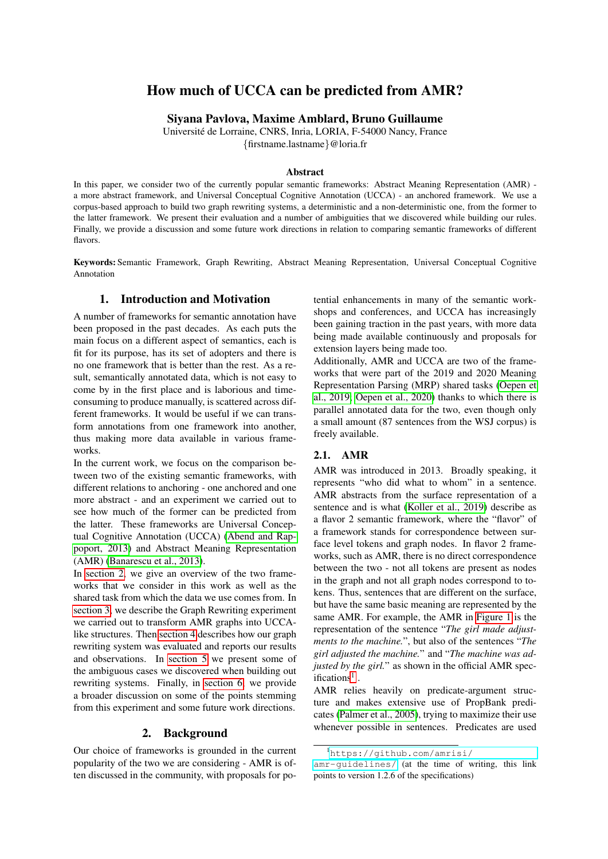# How much of UCCA can be predicted from AMR?

Siyana Pavlova, Maxime Amblard, Bruno Guillaume

Universite de Lorraine, CNRS, Inria, LORIA, F-54000 Nancy, France ´ {firstname.lastname}@loria.fr

### Abstract

In this paper, we consider two of the currently popular semantic frameworks: Abstract Meaning Representation (AMR) a more abstract framework, and Universal Conceptual Cognitive Annotation (UCCA) - an anchored framework. We use a corpus-based approach to build two graph rewriting systems, a deterministic and a non-deterministic one, from the former to the latter framework. We present their evaluation and a number of ambiguities that we discovered while building our rules. Finally, we provide a discussion and some future work directions in relation to comparing semantic frameworks of different flavors.

Keywords: Semantic Framework, Graph Rewriting, Abstract Meaning Representation, Universal Conceptual Cognitive Annotation

## 1. Introduction and Motivation

A number of frameworks for semantic annotation have been proposed in the past decades. As each puts the main focus on a different aspect of semantics, each is fit for its purpose, has its set of adopters and there is no one framework that is better than the rest. As a result, semantically annotated data, which is not easy to come by in the first place and is laborious and timeconsuming to produce manually, is scattered across different frameworks. It would be useful if we can transform annotations from one framework into another, thus making more data available in various frameworks.

In the current work, we focus on the comparison between two of the existing semantic frameworks, with different relations to anchoring - one anchored and one more abstract - and an experiment we carried out to see how much of the former can be predicted from the latter. These frameworks are Universal Conceptual Cognitive Annotation (UCCA) [\(Abend and Rap](#page-7-0)[poport, 2013\)](#page-7-0) and Abstract Meaning Representation (AMR) [\(Banarescu et al., 2013\)](#page-7-1).

In [section 2,](#page-0-0) we give an overview of the two frameworks that we consider in this work as well as the shared task from which the data we use comes from. In [section 3,](#page-2-0) we describe the Graph Rewriting experiment we carried out to transform AMR graphs into UCCAlike structures. Then [section 4](#page-3-0) describes how our graph rewriting system was evaluated and reports our results and observations. In [section 5](#page-5-0) we present some of the ambiguous cases we discovered when building out rewriting systems. Finally, in [section 6,](#page-6-0) we provide a broader discussion on some of the points stemming from this experiment and some future work directions.

#### 2. Background

<span id="page-0-0"></span>Our choice of frameworks is grounded in the current popularity of the two we are considering - AMR is often discussed in the community, with proposals for potential enhancements in many of the semantic workshops and conferences, and UCCA has increasingly been gaining traction in the past years, with more data being made available continuously and proposals for extension layers being made too.

Additionally, AMR and UCCA are two of the frameworks that were part of the 2019 and 2020 Meaning Representation Parsing (MRP) shared tasks [\(Oepen et](#page-7-2) [al., 2019;](#page-7-2) [Oepen et al., 2020\)](#page-7-3) thanks to which there is parallel annotated data for the two, even though only a small amount (87 sentences from the WSJ corpus) is freely available.

#### 2.1. AMR

AMR was introduced in 2013. Broadly speaking, it represents "who did what to whom" in a sentence. AMR abstracts from the surface representation of a sentence and is what [\(Koller et al., 2019\)](#page-7-4) describe as a flavor 2 semantic framework, where the "flavor" of a framework stands for correspondence between surface level tokens and graph nodes. In flavor 2 frameworks, such as AMR, there is no direct correspondence between the two - not all tokens are present as nodes in the graph and not all graph nodes correspond to tokens. Thus, sentences that are different on the surface, but have the same basic meaning are represented by the same AMR. For example, the AMR in [Figure 1](#page-1-0) is the representation of the sentence "*The girl made adjustments to the machine.*", but also of the sentences "*The girl adjusted the machine.*" and "*The machine was adjusted by the girl.*" as shown in the official AMR spec-ifications<sup>[1](#page-0-1)</sup>.

AMR relies heavily on predicate-argument structure and makes extensive use of PropBank predicates [\(Palmer et al., 2005\)](#page-7-5), trying to maximize their use whenever possible in sentences. Predicates are used

<span id="page-0-1"></span><sup>1</sup>[https://github.com/amrisi/](https://github.com/amrisi/amr-guidelines/)

[amr-guidelines/](https://github.com/amrisi/amr-guidelines/) (at the time of writing, this link points to version 1.2.6 of the specifications)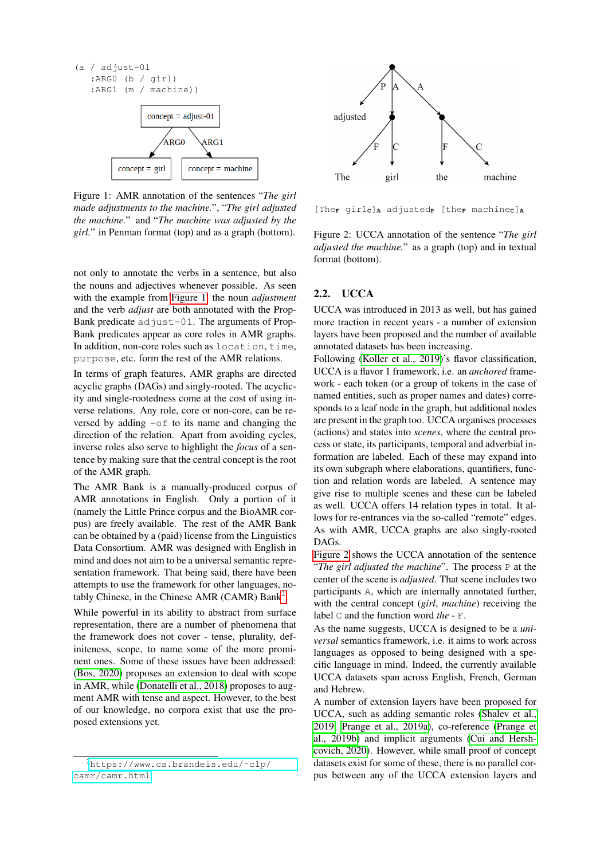<span id="page-1-0"></span>

Figure 1: AMR annotation of the sentences "*The girl made adjustments to the machine.*", "*The girl adjusted the machine.*" and "*The machine was adjusted by the girl.*" in Penman format (top) and as a graph (bottom).

not only to annotate the verbs in a sentence, but also the nouns and adjectives whenever possible. As seen with the example from [Figure 1,](#page-1-0) the noun *adjustment* and the verb *adjust* are both annotated with the Prop-Bank predicate adjust-01. The arguments of Prop-Bank predicates appear as core roles in AMR graphs. In addition, non-core roles such as location, time, purpose, etc. form the rest of the AMR relations.

In terms of graph features, AMR graphs are directed acyclic graphs (DAGs) and singly-rooted. The acyclicity and single-rootedness come at the cost of using inverse relations. Any role, core or non-core, can be reversed by adding  $-\circ f$  to its name and changing the direction of the relation. Apart from avoiding cycles, inverse roles also serve to highlight the *focus* of a sentence by making sure that the central concept is the root of the AMR graph.

The AMR Bank is a manually-produced corpus of AMR annotations in English. Only a portion of it (namely the Little Prince corpus and the BioAMR corpus) are freely available. The rest of the AMR Bank can be obtained by a (paid) license from the Linguistics Data Consortium. AMR was designed with English in mind and does not aim to be a universal semantic representation framework. That being said, there have been attempts to use the framework for other languages, no-tably Chinese, in the Chinese AMR (CAMR) Bank<sup>[2](#page-1-1)</sup>.

While powerful in its ability to abstract from surface representation, there are a number of phenomena that the framework does not cover - tense, plurality, definiteness, scope, to name some of the more prominent ones. Some of these issues have been addressed: [\(Bos, 2020\)](#page-7-6) proposes an extension to deal with scope in AMR, while [\(Donatelli et al., 2018\)](#page-7-7) proposes to augment AMR with tense and aspect. However, to the best of our knowledge, no corpora exist that use the proposed extensions yet.

<span id="page-1-2"></span>

[The**<sup>F</sup>** girl**C**]**<sup>A</sup>** adjusted**<sup>P</sup>** [the**<sup>F</sup>** machine**C**]**<sup>A</sup>**

Figure 2: UCCA annotation of the sentence "*The girl adjusted the machine.*" as a graph (top) and in textual format (bottom).

## 2.2. UCCA

UCCA was introduced in 2013 as well, but has gained more traction in recent years - a number of extension layers have been proposed and the number of available annotated datasets has been increasing.

Following [\(Koller et al., 2019\)](#page-7-4)'s flavor classification, UCCA is a flavor 1 framework, i.e. an *anchored* framework - each token (or a group of tokens in the case of named entities, such as proper names and dates) corresponds to a leaf node in the graph, but additional nodes are present in the graph too. UCCA organises processes (actions) and states into *scenes*, where the central process or state, its participants, temporal and adverbial information are labeled. Each of these may expand into its own subgraph where elaborations, quantifiers, function and relation words are labeled. A sentence may give rise to multiple scenes and these can be labeled as well. UCCA offers 14 relation types in total. It allows for re-entrances via the so-called "remote" edges. As with AMR, UCCA graphs are also singly-rooted DAGs.

[Figure 2](#page-1-2) shows the UCCA annotation of the sentence "*The girl adjusted the machine*". The process P at the center of the scene is *adjusted*. That scene includes two participants A, which are internally annotated further, with the central concept (*girl*, *machine*) receiving the label C and the function word *the* - F.

As the name suggests, UCCA is designed to be a *universal* semantics framework, i.e. it aims to work across languages as opposed to being designed with a specific language in mind. Indeed, the currently available UCCA datasets span across English, French, German and Hebrew.

A number of extension layers have been proposed for UCCA, such as adding semantic roles [\(Shalev et al.,](#page-7-8) [2019;](#page-7-8) [Prange et al., 2019a\)](#page-7-9), co-reference [\(Prange et](#page-7-10) [al., 2019b\)](#page-7-10) and implicit arguments [\(Cui and Hersh](#page-7-11)[covich, 2020\)](#page-7-11). However, while small proof of concept datasets exist for some of these, there is no parallel corpus between any of the UCCA extension layers and

<span id="page-1-1"></span><sup>2</sup>[https://www.cs.brandeis.edu/˜clp/](https://www.cs.brandeis.edu/~clp/camr/camr.html) [camr/camr.html](https://www.cs.brandeis.edu/~clp/camr/camr.html)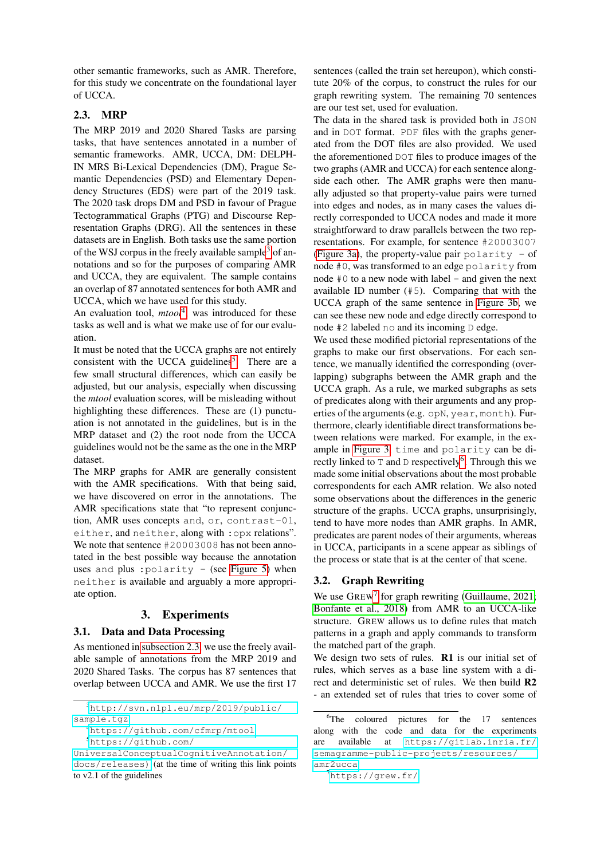other semantic frameworks, such as AMR. Therefore, for this study we concentrate on the foundational layer of UCCA.

## <span id="page-2-4"></span>2.3. MRP

The MRP 2019 and 2020 Shared Tasks are parsing tasks, that have sentences annotated in a number of semantic frameworks. AMR, UCCA, DM: DELPH-IN MRS Bi-Lexical Dependencies (DM), Prague Semantic Dependencies (PSD) and Elementary Dependency Structures (EDS) were part of the 2019 task. The 2020 task drops DM and PSD in favour of Prague Tectogrammatical Graphs (PTG) and Discourse Representation Graphs (DRG). All the sentences in these datasets are in English. Both tasks use the same portion of the WSJ corpus in the freely available sample<sup>[3](#page-2-1)</sup> of annotations and so for the purposes of comparing AMR and UCCA, they are equivalent. The sample contains an overlap of 87 annotated sentences for both AMR and UCCA, which we have used for this study.

An evaluation tool, *mtool*<sup>[4](#page-2-2)</sup>, was introduced for these tasks as well and is what we make use of for our evaluation.

It must be noted that the UCCA graphs are not entirely consistent with the UCCA guidelines<sup>[5](#page-2-3)</sup>. There are a few small structural differences, which can easily be adjusted, but our analysis, especially when discussing the *mtool* evaluation scores, will be misleading without highlighting these differences. These are (1) punctuation is not annotated in the guidelines, but is in the MRP dataset and (2) the root node from the UCCA guidelines would not be the same as the one in the MRP dataset.

The MRP graphs for AMR are generally consistent with the AMR specifications. With that being said, we have discovered on error in the annotations. The AMR specifications state that "to represent conjunction, AMR uses concepts and, or, contrast-01, either, and neither, along with :opx relations". We note that sentence  $#20003008$  has not been annotated in the best possible way because the annotation uses and plus :  $polarity - (see Figure 5) when$  $polarity - (see Figure 5) when$  $polarity - (see Figure 5) when$ neither is available and arguably a more appropriate option.

### 3. Experiments

### <span id="page-2-0"></span>3.1. Data and Data Processing

As mentioned in [subsection 2.3,](#page-2-4) we use the freely available sample of annotations from the MRP 2019 and 2020 Shared Tasks. The corpus has 87 sentences that overlap between UCCA and AMR. We use the first 17

<span id="page-2-1"></span><sup>3</sup>[http://svn.nlpl.eu/mrp/2019/public/](http://svn.nlpl.eu/mrp/2019/public/sample.tgz) [sample.tgz](http://svn.nlpl.eu/mrp/2019/public/sample.tgz)

<span id="page-2-3"></span><span id="page-2-2"></span><sup>4</sup><https://github.com/cfmrp/mtool>

<sup>5</sup>[https://github.com/](https://github.com/UniversalConceptualCognitiveAnnotation/docs/releases)) [UniversalConceptualCognitiveAnnotation/](https://github.com/UniversalConceptualCognitiveAnnotation/docs/releases)) [docs/releases\)](https://github.com/UniversalConceptualCognitiveAnnotation/docs/releases)) (at the time of writing this link points to v2.1 of the guidelines

sentences (called the train set hereupon), which constitute 20% of the corpus, to construct the rules for our graph rewriting system. The remaining 70 sentences are our test set, used for evaluation.

The data in the shared task is provided both in JSON and in DOT format. PDF files with the graphs generated from the DOT files are also provided. We used the aforementioned DOT files to produce images of the two graphs (AMR and UCCA) for each sentence alongside each other. The AMR graphs were then manually adjusted so that property-value pairs were turned into edges and nodes, as in many cases the values directly corresponded to UCCA nodes and made it more straightforward to draw parallels between the two representations. For example, for sentence #20003007 [\(Figure 3a\)](#page-3-1), the property-value pair polarity - of node #0, was transformed to an edge polarity from node  $#0$  to a new node with label - and given the next available ID number (#5). Comparing that with the UCCA graph of the same sentence in [Figure 3b,](#page-3-1) we can see these new node and edge directly correspond to node #2 labeled no and its incoming D edge.

We used these modified pictorial representations of the graphs to make our first observations. For each sentence, we manually identified the corresponding (overlapping) subgraphs between the AMR graph and the UCCA graph. As a rule, we marked subgraphs as sets of predicates along with their arguments and any properties of the arguments (e.g. opN, year, month). Furthermore, clearly identifiable direct transformations between relations were marked. For example, in the example in [Figure 3,](#page-3-1) time and polarity can be directly linked to  $T$  and  $D$  respectively<sup>[6](#page-2-5)</sup>. Through this we made some initial observations about the most probable correspondents for each AMR relation. We also noted some observations about the differences in the generic structure of the graphs. UCCA graphs, unsurprisingly, tend to have more nodes than AMR graphs. In AMR, predicates are parent nodes of their arguments, whereas in UCCA, participants in a scene appear as siblings of the process or state that is at the center of that scene.

### 3.2. Graph Rewriting

We use  $G$ REW<sup>[7](#page-2-6)</sup> for graph rewriting [\(Guillaume, 2021;](#page-7-12) [Bonfante et al., 2018\)](#page-7-13) from AMR to an UCCA-like structure. GREW allows us to define rules that match patterns in a graph and apply commands to transform the matched part of the graph.

We design two sets of rules. R1 is our initial set of rules, which serves as a base line system with a direct and deterministic set of rules. We then build R2 - an extended set of rules that tries to cover some of

<span id="page-2-5"></span><sup>&</sup>lt;sup>6</sup>The coloured pictures for the 17 sentences along with the code and data for the experiments are available at [https://gitlab.inria.fr/](https://gitlab.inria.fr/semagramme-public-projects/resources/amr2ucca) [semagramme-public-projects/resources/](https://gitlab.inria.fr/semagramme-public-projects/resources/amr2ucca) [amr2ucca](https://gitlab.inria.fr/semagramme-public-projects/resources/amr2ucca)

<span id="page-2-6"></span><sup>7</sup><https://grew.fr/>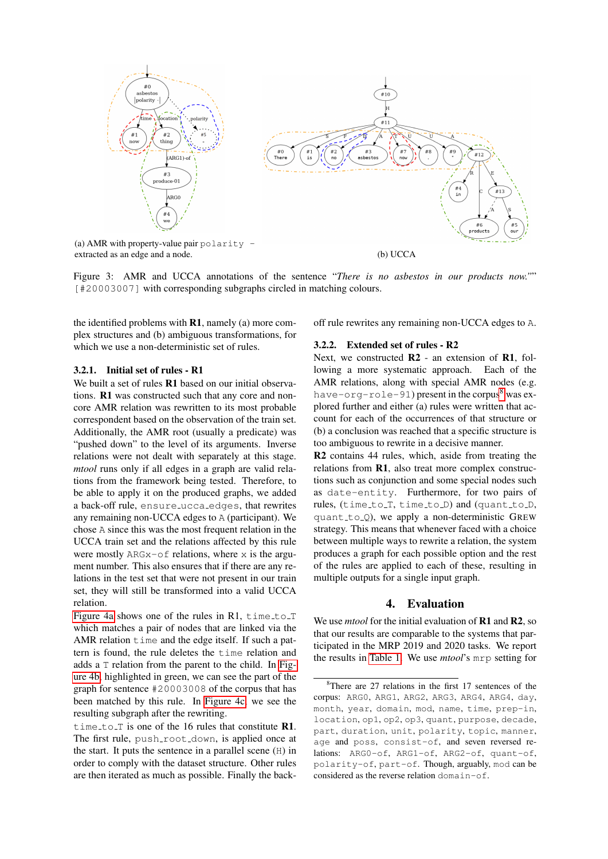<span id="page-3-1"></span>

Figure 3: AMR and UCCA annotations of the sentence "*There is no asbestos in our products now."*" [#20003007] with corresponding subgraphs circled in matching colours.

the identified problems with  $R1$ , namely (a) more complex structures and (b) ambiguous transformations, for which we use a non-deterministic set of rules.

#### 3.2.1. Initial set of rules - R1

We built a set of rules **R1** based on our initial observations. R1 was constructed such that any core and noncore AMR relation was rewritten to its most probable correspondent based on the observation of the train set. Additionally, the AMR root (usually a predicate) was "pushed down" to the level of its arguments. Inverse relations were not dealt with separately at this stage. *mtool* runs only if all edges in a graph are valid relations from the framework being tested. Therefore, to be able to apply it on the produced graphs, we added a back-off rule, ensure ucca edges, that rewrites any remaining non-UCCA edges to A (participant). We chose A since this was the most frequent relation in the UCCA train set and the relations affected by this rule were mostly  $ARGx-of$  relations, where x is the argument number. This also ensures that if there are any relations in the test set that were not present in our train set, they will still be transformed into a valid UCCA relation.

[Figure 4a](#page-4-0) shows one of the rules in R1,  $\tt time_to_T$ which matches a pair of nodes that are linked via the AMR relation time and the edge itself. If such a pattern is found, the rule deletes the time relation and adds a T relation from the parent to the child. In [Fig](#page-4-0)[ure 4b,](#page-4-0) highlighted in green, we can see the part of the graph for sentence #20003008 of the corpus that has been matched by this rule. In [Figure 4c,](#page-4-0) we see the resulting subgraph after the rewriting.

time to  $T$  is one of the 16 rules that constitute R1. The first rule, push root down, is applied once at the start. It puts the sentence in a parallel scene (H) in order to comply with the dataset structure. Other rules are then iterated as much as possible. Finally the backoff rule rewrites any remaining non-UCCA edges to A.

#### 3.2.2. Extended set of rules - R2

Next, we constructed **R2** - an extension of **R1**, following a more systematic approach. Each of the AMR relations, along with special AMR nodes (e.g. have-org-role-91) present in the corpus $8$  was explored further and either (a) rules were written that account for each of the occurrences of that structure or (b) a conclusion was reached that a specific structure is too ambiguous to rewrite in a decisive manner.

R2 contains 44 rules, which, aside from treating the relations from R1, also treat more complex constructions such as conjunction and some special nodes such as date-entity. Furthermore, for two pairs of rules, (time\_to\_T, time\_to\_D) and (quant\_to\_D, quant\_to\_Q), we apply a non-deterministic GREW strategy. This means that whenever faced with a choice between multiple ways to rewrite a relation, the system produces a graph for each possible option and the rest of the rules are applied to each of these, resulting in multiple outputs for a single input graph.

#### 4. Evaluation

<span id="page-3-0"></span>We use *mtool* for the initial evaluation of **R1** and **R2**, so that our results are comparable to the systems that participated in the MRP 2019 and 2020 tasks. We report the results in [Table 1.](#page-5-2) We use *mtool*'s mrp setting for

<span id="page-3-2"></span> $8$ There are 27 relations in the first 17 sentences of the corpus: ARG0, ARG1, ARG2, ARG3, ARG4, ARG4, day, month, year, domain, mod, name, time, prep-in, location, op1, op2, op3, quant, purpose, decade, part, duration, unit, polarity, topic, manner, age and poss, consist-of, and seven reversed relations: ARG0-of, ARG1-of, ARG2-of, quant-of, polarity-of, part-of. Though, arguably, mod can be considered as the reverse relation domain-of.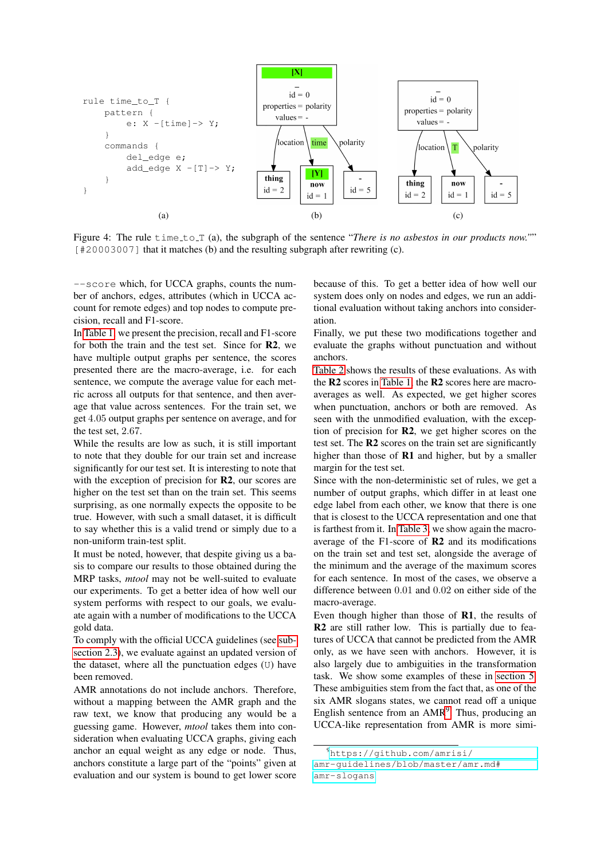<span id="page-4-0"></span>

Figure 4: The rule time to T (a), the subgraph of the sentence "*There is no asbestos in our products now."*" [#20003007] that it matches (b) and the resulting subgraph after rewriting (c).

--score which, for UCCA graphs, counts the number of anchors, edges, attributes (which in UCCA account for remote edges) and top nodes to compute precision, recall and F1-score.

In [Table 1,](#page-5-2) we present the precision, recall and F1-score for both the train and the test set. Since for R2, we have multiple output graphs per sentence, the scores presented there are the macro-average, i.e. for each sentence, we compute the average value for each metric across all outputs for that sentence, and then average that value across sentences. For the train set, we get 4.05 output graphs per sentence on average, and for the test set, 2.67.

While the results are low as such, it is still important to note that they double for our train set and increase significantly for our test set. It is interesting to note that with the exception of precision for **R2**, our scores are higher on the test set than on the train set. This seems surprising, as one normally expects the opposite to be true. However, with such a small dataset, it is difficult to say whether this is a valid trend or simply due to a non-uniform train-test split.

It must be noted, however, that despite giving us a basis to compare our results to those obtained during the MRP tasks, *mtool* may not be well-suited to evaluate our experiments. To get a better idea of how well our system performs with respect to our goals, we evaluate again with a number of modifications to the UCCA gold data.

To comply with the official UCCA guidelines (see [sub](#page-2-4)[section 2.3\)](#page-2-4), we evaluate against an updated version of the dataset, where all the punctuation edges (U) have been removed.

AMR annotations do not include anchors. Therefore, without a mapping between the AMR graph and the raw text, we know that producing any would be a guessing game. However, *mtool* takes them into consideration when evaluating UCCA graphs, giving each anchor an equal weight as any edge or node. Thus, anchors constitute a large part of the "points" given at evaluation and our system is bound to get lower score because of this. To get a better idea of how well our system does only on nodes and edges, we run an additional evaluation without taking anchors into consideration.

Finally, we put these two modifications together and evaluate the graphs without punctuation and without anchors.

[Table 2](#page-5-3) shows the results of these evaluations. As with the R2 scores in [Table 1,](#page-5-2) the R2 scores here are macroaverages as well. As expected, we get higher scores when punctuation, anchors or both are removed. As seen with the unmodified evaluation, with the exception of precision for R2, we get higher scores on the test set. The R2 scores on the train set are significantly higher than those of **R1** and higher, but by a smaller margin for the test set.

Since with the non-deterministic set of rules, we get a number of output graphs, which differ in at least one edge label from each other, we know that there is one that is closest to the UCCA representation and one that is farthest from it. In [Table 3,](#page-6-1) we show again the macroaverage of the F1-score of R2 and its modifications on the train set and test set, alongside the average of the minimum and the average of the maximum scores for each sentence. In most of the cases, we observe a difference between 0.01 and 0.02 on either side of the macro-average.

Even though higher than those of R1, the results of R2 are still rather low. This is partially due to features of UCCA that cannot be predicted from the AMR only, as we have seen with anchors. However, it is also largely due to ambiguities in the transformation task. We show some examples of these in [section 5.](#page-5-0) These ambiguities stem from the fact that, as one of the six AMR slogans states, we cannot read off a unique English sentence from an AMR<sup>[9](#page-4-1)</sup>. Thus, producing an UCCA-like representation from AMR is more simi-

<span id="page-4-1"></span><sup>9</sup>[https://github.com/amrisi/](https://github.com/amrisi/amr-guidelines/blob/master/amr.md#amr-slogans) [amr-guidelines/blob/master/amr.md#](https://github.com/amrisi/amr-guidelines/blob/master/amr.md#amr-slogans) [amr-slogans](https://github.com/amrisi/amr-guidelines/blob/master/amr.md#amr-slogans)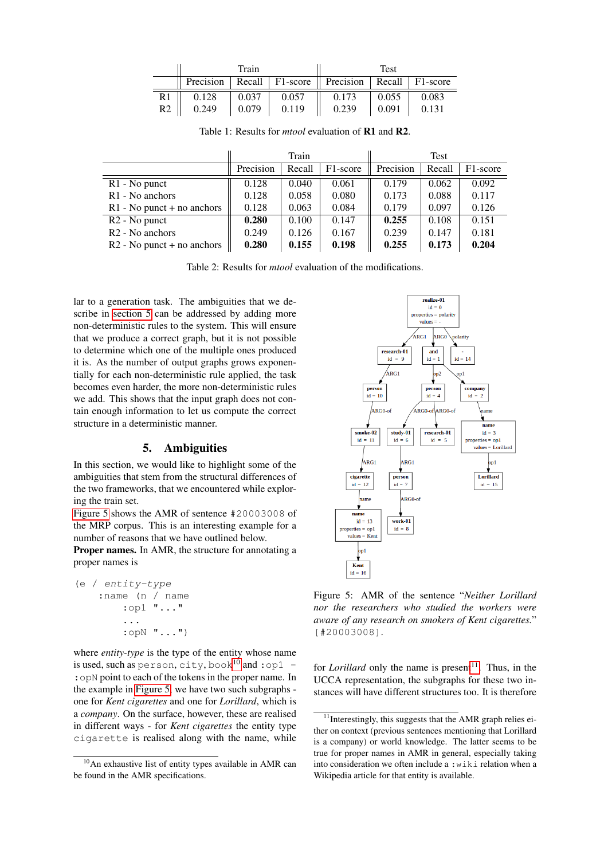<span id="page-5-2"></span>

|    | Train     |       |       | Test                                               |       |       |  |
|----|-----------|-------|-------|----------------------------------------------------|-------|-------|--|
|    | Precision |       |       | Recall   F1-score    Precision   Recall   F1-score |       |       |  |
| R1 | 0.128     | 0.037 | 0.057 | 0.173                                              | 0.055 | 0.083 |  |
| R2 | 0.249     | 0.079 | 0.119 | 0.239                                              | 0.091 | 0.131 |  |

<span id="page-5-3"></span>

|                              | Train     |        |          | <b>Test</b> |        |          |
|------------------------------|-----------|--------|----------|-------------|--------|----------|
|                              | Precision | Recall | F1-score | Precision   | Recall | F1-score |
| $R1 - No$ punct              | 0.128     | 0.040  | 0.061    | 0.179       | 0.062  | 0.092    |
| R <sub>1</sub> - No anchors  | 0.128     | 0.058  | 0.080    | 0.173       | 0.088  | 0.117    |
| $R1 - No$ punct + no anchors | 0.128     | 0.063  | 0.084    | 0.179       | 0.097  | 0.126    |
| R <sub>2</sub> - No punct    | 0.280     | 0.100  | 0.147    | 0.255       | 0.108  | 0.151    |
| R <sub>2</sub> - No anchors  | 0.249     | 0.126  | 0.167    | 0.239       | 0.147  | 0.181    |
| $R2 - No$ punct + no anchors | 0.280     | 0.155  | 0.198    | 0.255       | 0.173  | 0.204    |

Table 1: Results for *mtool* evaluation of R1 and R2.

Table 2: Results for *mtool* evaluation of the modifications.

lar to a generation task. The ambiguities that we describe in [section 5](#page-5-0) can be addressed by adding more non-deterministic rules to the system. This will ensure that we produce a correct graph, but it is not possible to determine which one of the multiple ones produced it is. As the number of output graphs grows exponentially for each non-deterministic rule applied, the task becomes even harder, the more non-deterministic rules we add. This shows that the input graph does not contain enough information to let us compute the correct structure in a deterministic manner.

#### 5. Ambiguities

<span id="page-5-0"></span>In this section, we would like to highlight some of the ambiguities that stem from the structural differences of the two frameworks, that we encountered while exploring the train set.

[Figure 5](#page-5-1) shows the AMR of sentence #20003008 of the MRP corpus. This is an interesting example for a number of reasons that we have outlined below.

Proper names. In AMR, the structure for annotating a proper names is

```
(e / entity-type
 :name (n / name
     :op1 "..."
     ...
     :opN "...")
```
 $\overline{a}$ 

where *entity-type* is the type of the entity whose name is used, such as person, city, book<sup>[10](#page-5-4)</sup> and : op1 -:opN point to each of the tokens in the proper name. In the example in [Figure 5,](#page-5-1) we have two such subgraphs one for *Kent cigarettes* and one for *Lorillard*, which is a *company*. On the surface, however, these are realised in different ways - for *Kent cigarettes* the entity type cigarette is realised along with the name, while

<span id="page-5-1"></span>

Figure 5: AMR of the sentence "*Neither Lorillard nor the researchers who studied the workers were aware of any research on smokers of Kent cigarettes.*" [#20003008].

for *Lorillard* only the name is present<sup>[11](#page-5-5)</sup>. Thus, in the UCCA representation, the subgraphs for these two instances will have different structures too. It is therefore

<span id="page-5-4"></span><sup>&</sup>lt;sup>10</sup>An exhaustive list of entity types available in AMR can be found in the AMR specifications.

<span id="page-5-5"></span><sup>&</sup>lt;sup>11</sup>Interestingly, this suggests that the AMR graph relies either on context (previous sentences mentioning that Lorillard is a company) or world knowledge. The latter seems to be true for proper names in AMR in general, especially taking into consideration we often include a :wiki relation when a Wikipedia article for that entity is available.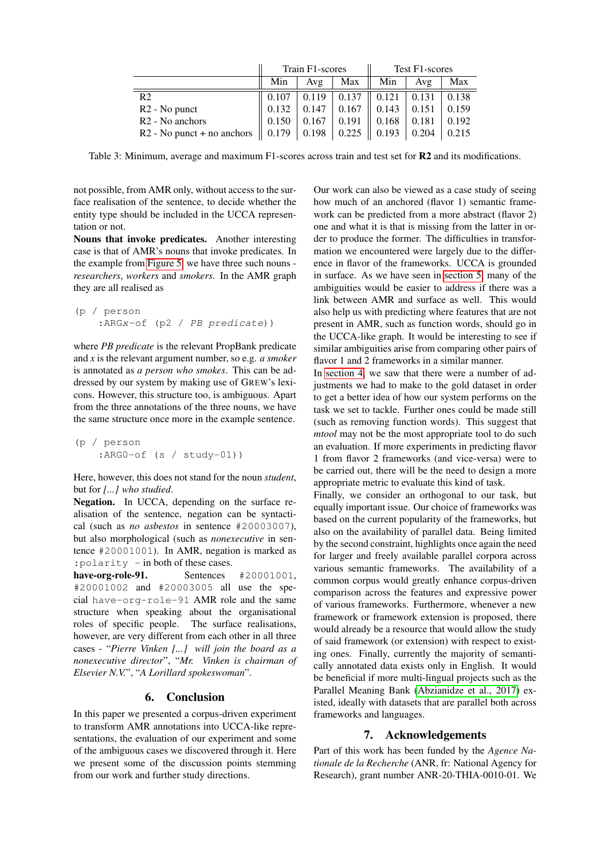<span id="page-6-1"></span>

|                              |       | Train F1-scores |                   | Test F1-scores |                     |       |
|------------------------------|-------|-----------------|-------------------|----------------|---------------------|-------|
|                              | Min   | Avg             | Max               | Min            | Avg                 | Max   |
| R <sub>2</sub>               | 0.107 | 0.119           | $\mid 0.137 \mid$ | 0.121          | $\vert 0.131 \vert$ | 0.138 |
| R <sub>2</sub> - No punct    | 0.132 | 0.147           | 0.167             | 0.143          | 0.151               | 0.159 |
| R <sub>2</sub> - No anchors  | 0.150 | 0.167           | 0.191             | 0.168          | 0.181               | 0.192 |
| $R2 - No$ punct + no anchors | 0.179 | 0.198           | 0.225             | 0.193          | 0.204               | 0.215 |

Table 3: Minimum, average and maximum F1-scores across train and test set for **R2** and its modifications.

not possible, from AMR only, without access to the surface realisation of the sentence, to decide whether the entity type should be included in the UCCA representation or not.

Nouns that invoke predicates. Another interesting case is that of AMR's nouns that invoke predicates. In the example from [Figure 5,](#page-5-1) we have three such nouns *researchers*, *workers* and *smokers*. In the AMR graph they are all realised as

```
(p / person
:ARGx-of (p2 / PB predicate))
```
where *PB predicate* is the relevant PropBank predicate and *x* is the relevant argument number, so e.g. *a smoker* is annotated as *a person who smokes*. This can be addressed by our system by making use of GREW's lexicons. However, this structure too, is ambiguous. Apart from the three annotations of the three nouns, we have the same structure once more in the example sentence.

```
(p / person
 : ARG0-of (s / study-01))
```
Here, however, this does not stand for the noun *student*, but for *[...] who studied*.

Negation. In UCCA, depending on the surface realisation of the sentence, negation can be syntactical (such as *no asbestos* in sentence #20003007), but also morphological (such as *nonexecutive* in sentence #20001001). In AMR, negation is marked as :polarity - in both of these cases.

have-org-role-91. Sentences #20001001, #20001002 and #20003005 all use the special have-org-role-91 AMR role and the same structure when speaking about the organisational roles of specific people. The surface realisations, however, are very different from each other in all three cases - "*Pierre Vinken [...] will join the board as a nonexecutive director*", "*Mr. Vinken is chairman of Elsevier N.V.*", "*A Lorillard spokeswoman*".

# 6. Conclusion

<span id="page-6-0"></span>In this paper we presented a corpus-driven experiment to transform AMR annotations into UCCA-like representations, the evaluation of our experiment and some of the ambiguous cases we discovered through it. Here we present some of the discussion points stemming from our work and further study directions.

Our work can also be viewed as a case study of seeing how much of an anchored (flavor 1) semantic framework can be predicted from a more abstract (flavor 2) one and what it is that is missing from the latter in order to produce the former. The difficulties in transformation we encountered were largely due to the difference in flavor of the frameworks. UCCA is grounded in surface. As we have seen in [section 5,](#page-5-0) many of the ambiguities would be easier to address if there was a link between AMR and surface as well. This would also help us with predicting where features that are not present in AMR, such as function words, should go in the UCCA-like graph. It would be interesting to see if similar ambiguities arise from comparing other pairs of flavor 1 and 2 frameworks in a similar manner.

In [section 4,](#page-3-0) we saw that there were a number of adjustments we had to make to the gold dataset in order to get a better idea of how our system performs on the task we set to tackle. Further ones could be made still (such as removing function words). This suggest that *mtool* may not be the most appropriate tool to do such an evaluation. If more experiments in predicting flavor 1 from flavor 2 frameworks (and vice-versa) were to be carried out, there will be the need to design a more appropriate metric to evaluate this kind of task.

Finally, we consider an orthogonal to our task, but equally important issue. Our choice of frameworks was based on the current popularity of the frameworks, but also on the availability of parallel data. Being limited by the second constraint, highlights once again the need for larger and freely available parallel corpora across various semantic frameworks. The availability of a common corpus would greatly enhance corpus-driven comparison across the features and expressive power of various frameworks. Furthermore, whenever a new framework or framework extension is proposed, there would already be a resource that would allow the study of said framework (or extension) with respect to existing ones. Finally, currently the majority of semantically annotated data exists only in English. It would be beneficial if more multi-lingual projects such as the Parallel Meaning Bank [\(Abzianidze et al., 2017\)](#page-7-14) existed, ideally with datasets that are parallel both across frameworks and languages.

# 7. Acknowledgements

Part of this work has been funded by the *Agence Nationale de la Recherche* (ANR, fr: National Agency for Research), grant number ANR-20-THIA-0010-01. We